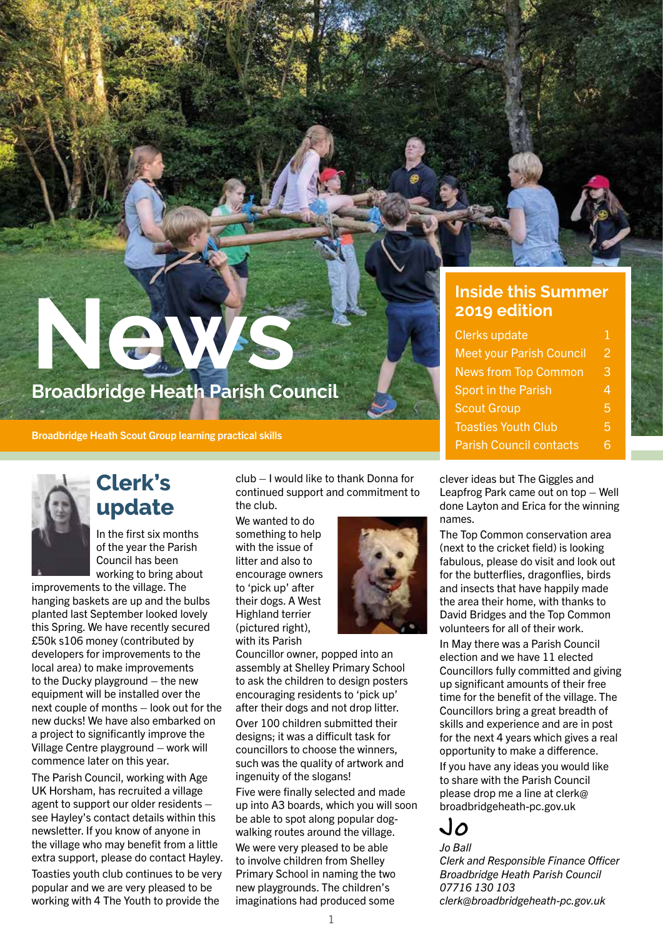# **News Broadbridge Heath Parish Council**

**Broadbridge Heath Scout Group learning practical skills** 



### **Clerk's update**

In the first six months of the year the Parish Council has been working to bring about

improvements to the village. The hanging baskets are up and the bulbs planted last September looked lovely this Spring. We have recently secured £50k s106 money (contributed by developers for improvements to the local area) to make improvements to the Ducky playground – the new equipment will be installed over the next couple of months – look out for the new ducks! We have also embarked on a project to significantly improve the Village Centre playground – work will commence later on this year.

The Parish Council, working with Age UK Horsham, has recruited a village agent to support our older residents – see Hayley's contact details within this newsletter. If you know of anyone in the village who may benefit from a little extra support, please do contact Hayley. Toasties youth club continues to be very popular and we are very pleased to be working with 4 The Youth to provide the

club – I would like to thank Donna for continued support and commitment to the club.

We wanted to do something to help with the issue of litter and also to encourage owners to 'pick up' after their dogs. A West Highland terrier (pictured right), with its Parish



Councillor owner, popped into an assembly at Shelley Primary School to ask the children to design posters encouraging residents to 'pick up' after their dogs and not drop litter. Over 100 children submitted their designs; it was a difficult task for councillors to choose the winners, such was the quality of artwork and ingenuity of the slogans! Five were finally selected and made

up into A3 boards, which you will soon be able to spot along popular dogwalking routes around the village. We were very pleased to be able to involve children from Shelley Primary School in naming the two new playgrounds. The children's imaginations had produced some

#### **Inside this Summer 2019 edition**

| <b>Clerks update</b>            | 1 |
|---------------------------------|---|
| <b>Meet your Parish Council</b> | 2 |
| <b>News from Top Common</b>     | З |
| Sport in the Parish             | 4 |
| <b>Scout Group</b>              | 5 |
| <b>Toasties Youth Club</b>      | 5 |
| <b>Parish Council contacts</b>  |   |
|                                 |   |

clever ideas but The Giggles and Leapfrog Park came out on top – Well done Layton and Erica for the winning names.

The Top Common conservation area (next to the cricket field) is looking fabulous, please do visit and look out for the butterflies, dragonflies, birds and insects that have happily made the area their home, with thanks to David Bridges and the Top Common volunteers for all of their work.

In May there was a Parish Council election and we have 11 elected Councillors fully committed and giving up significant amounts of their free time for the benefit of the village. The Councillors bring a great breadth of skills and experience and are in post for the next 4 years which gives a real opportunity to make a difference.

If you have any ideas you would like to share with the Parish Council please drop me a line at clerk@ broadbridgeheath-pc.gov.uk

## Jo

*Jo Ball Clerk and Responsible Finance Officer Broadbridge Heath Parish Council 07716 130 103 clerk@broadbridgeheath-pc.gov.uk*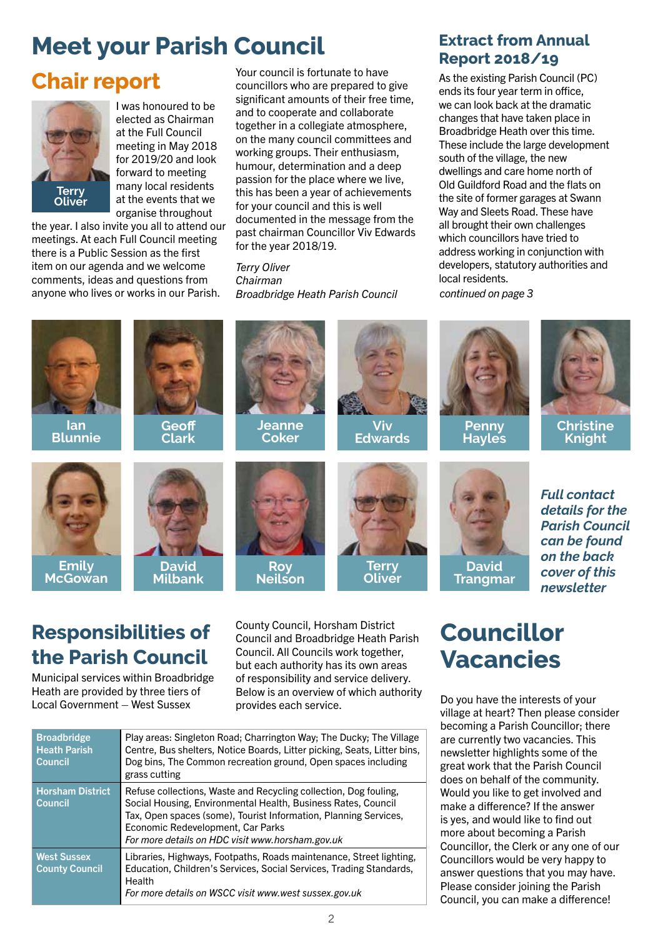# **Meet your Parish Council**

# **Chair report**



I was honoured to be elected as Chairman at the Full Council meeting in May 2018 for 2019/20 and look forward to meeting many local residents at the events that we organise throughout

the year. I also invite you all to attend our meetings. At each Full Council meeting there is a Public Session as the first item on our agenda and we welcome comments, ideas and questions from anyone who lives or works in our Parish.

Your council is fortunate to have councillors who are prepared to give significant amounts of their free time, and to cooperate and collaborate together in a collegiate atmosphere, on the many council committees and working groups. Their enthusiasm, humour, determination and a deep passion for the place where we live, this has been a year of achievements for your council and this is well documented in the message from the past chairman Councillor Viv Edwards for the year 2018/19.

*Terry Oliver Chairman Broadbridge Heath Parish Council*

#### **Extract from Annual Report 2018/19**

As the existing Parish Council (PC) ends its four year term in office, we can look back at the dramatic changes that have taken place in Broadbridge Heath over this time. These include the large development south of the village, the new dwellings and care home north of Old Guildford Road and the flats on the site of former garages at Swann Way and Sleets Road. These have all brought their own challenges which councillors have tried to address working in conjunction with developers, statutory authorities and local residents.

*continued on page 3*



## **Responsibilities of the Parish Council**

Municipal services within Broadbridge Heath are provided by three tiers of Local Government – West Sussex

County Council, Horsham District Council and Broadbridge Heath Parish Council. All Councils work together, but each authority has its own areas of responsibility and service delivery. Below is an overview of which authority provides each service.

| <b>Broadbridge</b><br><b>Heath Parish</b><br><b>Council</b> | Play areas: Singleton Road; Charrington Way; The Ducky; The Village<br>Centre, Bus shelters, Notice Boards, Litter picking, Seats, Litter bins,<br>Dog bins, The Common recreation ground, Open spaces including<br>grass cutting                                                              |
|-------------------------------------------------------------|------------------------------------------------------------------------------------------------------------------------------------------------------------------------------------------------------------------------------------------------------------------------------------------------|
| <b>Horsham District</b><br><b>Council</b>                   | Refuse collections, Waste and Recycling collection, Dog fouling,<br>Social Housing, Environmental Health, Business Rates, Council<br>Tax, Open spaces (some), Tourist Information, Planning Services,<br>Economic Redevelopment, Car Parks<br>For more details on HDC visit www.horsham.gov.uk |
| <b>West Sussex</b><br><b>County Council</b>                 | Libraries, Highways, Footpaths, Roads maintenance, Street lighting,<br>Education, Children's Services, Social Services, Trading Standards,<br>Health<br>For more details on WSCC visit www.west sussex.gov.uk                                                                                  |

# **Councillor Vacancies**

Do you have the interests of your village at heart? Then please consider becoming a Parish Councillor; there are currently two vacancies. This newsletter highlights some of the great work that the Parish Council does on behalf of the community. Would you like to get involved and make a difference? If the answer is yes, and would like to find out more about becoming a Parish Councillor, the Clerk or any one of our Councillors would be very happy to answer questions that you may have. Please consider joining the Parish Council, you can make a difference!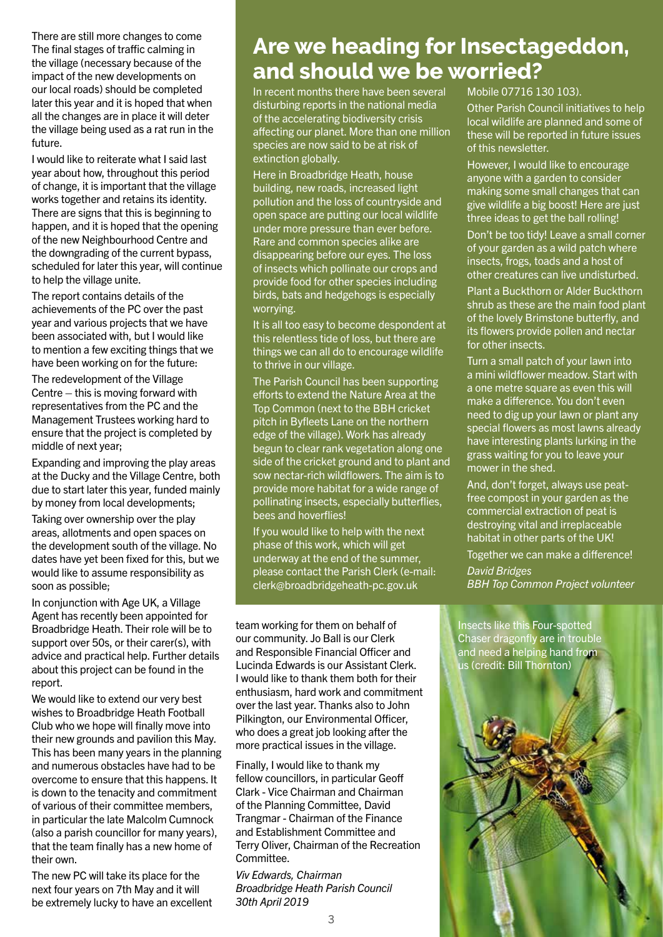There are still more changes to come The final stages of traffic calming in the village (necessary because of the impact of the new developments on our local roads) should be completed later this year and it is hoped that when all the changes are in place it will deter the village being used as a rat run in the future.

I would like to reiterate what I said last year about how, throughout this period of change, it is important that the village works together and retains its identity. There are signs that this is beginning to happen, and it is hoped that the opening of the new Neighbourhood Centre and the downgrading of the current bypass, scheduled for later this year, will continue to help the village unite.

The report contains details of the achievements of the PC over the past year and various projects that we have been associated with, but I would like to mention a few exciting things that we have been working on for the future:

The redevelopment of the Village Centre – this is moving forward with representatives from the PC and the Management Trustees working hard to ensure that the project is completed by middle of next year;

Expanding and improving the play areas at the Ducky and the Village Centre, both due to start later this year, funded mainly by money from local developments;

Taking over ownership over the play areas, allotments and open spaces on the development south of the village. No dates have yet been fixed for this, but we would like to assume responsibility as soon as possible;

In conjunction with Age UK, a Village Agent has recently been appointed for Broadbridge Heath. Their role will be to support over 50s, or their carer(s), with advice and practical help. Further details about this project can be found in the report.

We would like to extend our very best wishes to Broadbridge Heath Football Club who we hope will finally move into their new grounds and pavilion this May. This has been many years in the planning and numerous obstacles have had to be overcome to ensure that this happens. It is down to the tenacity and commitment of various of their committee members, in particular the late Malcolm Cumnock (also a parish councillor for many years), that the team finally has a new home of their own.

The new PC will take its place for the next four years on 7th May and it will be extremely lucky to have an excellent

## **Are we heading for Insectageddon, and should we be worried?**

In recent months there have been several disturbing reports in the national media of the accelerating biodiversity crisis affecting our planet. More than one million species are now said to be at risk of extinction globally.

Here in Broadbridge Heath, house building, new roads, increased light pollution and the loss of countryside and open space are putting our local wildlife under more pressure than ever before. Rare and common species alike are disappearing before our eyes. The loss of insects which pollinate our crops and provide food for other species including birds, bats and hedgehogs is especially worrying.

It is all too easy to become despondent at this relentless tide of loss, but there are things we can all do to encourage wildlife to thrive in our village.

The Parish Council has been supporting efforts to extend the Nature Area at the Top Common (next to the BBH cricket pitch in Byfleets Lane on the northern edge of the village). Work has already begun to clear rank vegetation along one side of the cricket ground and to plant and sow nectar-rich wildflowers. The aim is to provide more habitat for a wide range of pollinating insects, especially butterflies, bees and hoverflies!

If you would like to help with the next phase of this work, which will get underway at the end of the summer, please contact the Parish Clerk (e-mail: clerk@broadbridgeheath-pc.gov.uk

team working for them on behalf of our community. Jo Ball is our Clerk and Responsible Financial Officer and Lucinda Edwards is our Assistant Clerk. I would like to thank them both for their enthusiasm, hard work and commitment over the last year. Thanks also to John Pilkington, our Environmental Officer, who does a great job looking after the more practical issues in the village.

Finally, I would like to thank my fellow councillors, in particular Geoff Clark - Vice Chairman and Chairman of the Planning Committee, David Trangmar - Chairman of the Finance and Establishment Committee and Terry Oliver, Chairman of the Recreation Committee.

*Viv Edwards, Chairman Broadbridge Heath Parish Council 30th April 2019*

#### Mobile 07716 130 103).

Other Parish Council initiatives to help local wildlife are planned and some of these will be reported in future issues of this newsletter.

However, I would like to encourage anyone with a garden to consider making some small changes that can give wildlife a big boost! Here are just three ideas to get the ball rolling!

Don't be too tidy! Leave a small corner of your garden as a wild patch where insects, frogs, toads and a host of other creatures can live undisturbed.

Plant a Buckthorn or Alder Buckthorn shrub as these are the main food plant of the lovely Brimstone butterfly, and its flowers provide pollen and nectar for other insects.

Turn a small patch of your lawn into a mini wildflower meadow. Start with a one metre square as even this will make a difference. You don't even need to dig up your lawn or plant any special flowers as most lawns already have interesting plants lurking in the grass waiting for you to leave your mower in the shed.

And, don't forget, always use peatfree compost in your garden as the commercial extraction of peat is destroying vital and irreplaceable habitat in other parts of the UK!

Together we can make a difference! *David Bridges BBH Top Common Project volunteer*

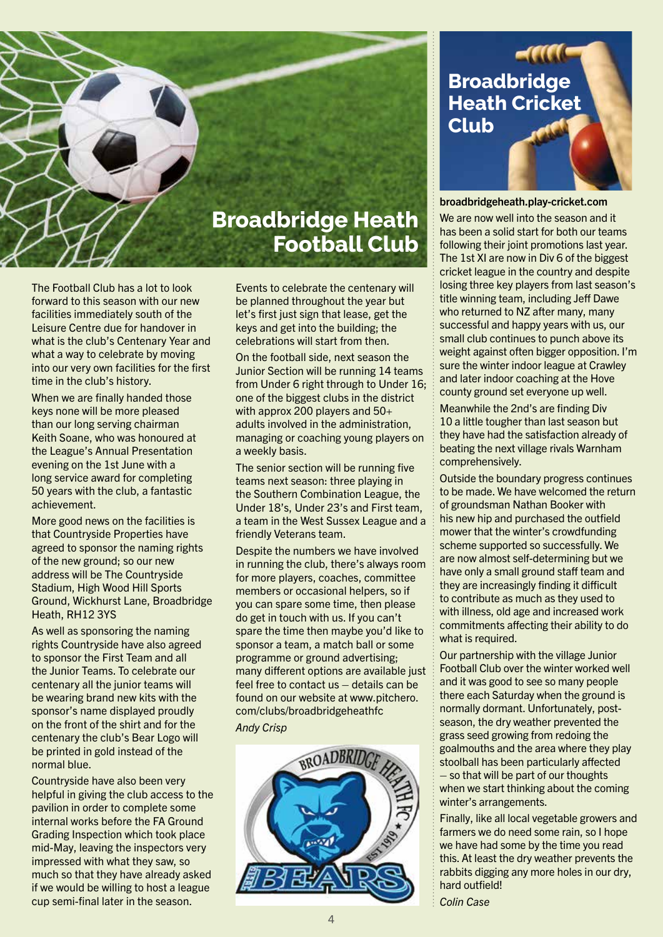

The Football Club has a lot to look forward to this season with our new facilities immediately south of the Leisure Centre due for handover in what is the club's Centenary Year and what a way to celebrate by moving into our very own facilities for the first time in the club's history.

When we are finally handed those keys none will be more pleased than our long serving chairman Keith Soane, who was honoured at the League's Annual Presentation evening on the 1st June with a long service award for completing 50 years with the club, a fantastic achievement.

More good news on the facilities is that Countryside Properties have agreed to sponsor the naming rights of the new ground; so our new address will be The Countryside Stadium, High Wood Hill Sports Ground, Wickhurst Lane, Broadbridge Heath, RH12 3YS

As well as sponsoring the naming rights Countryside have also agreed to sponsor the First Team and all the Junior Teams. To celebrate our centenary all the junior teams will be wearing brand new kits with the sponsor's name displayed proudly on the front of the shirt and for the centenary the club's Bear Logo will be printed in gold instead of the normal blue.

Countryside have also been very helpful in giving the club access to the pavilion in order to complete some internal works before the FA Ground Grading Inspection which took place mid-May, leaving the inspectors very impressed with what they saw, so much so that they have already asked if we would be willing to host a league cup semi-final later in the season.

Events to celebrate the centenary will be planned throughout the year but let's first just sign that lease, get the keys and get into the building; the celebrations will start from then.

On the football side, next season the Junior Section will be running 14 teams from Under 6 right through to Under 16; one of the biggest clubs in the district with approx 200 players and 50+ adults involved in the administration, managing or coaching young players on a weekly basis.

The senior section will be running five teams next season: three playing in the Southern Combination League, the Under 18's, Under 23's and First team, a team in the West Sussex League and a friendly Veterans team.

Despite the numbers we have involved in running the club, there's always room for more players, coaches, committee members or occasional helpers, so if you can spare some time, then please do get in touch with us. If you can't spare the time then maybe you'd like to sponsor a team, a match ball or some programme or ground advertising; many different options are available just feel free to contact us – details can be found on our website at www.pitchero. com/clubs/broadbridgeheathfc

#### *Andy Crisp*



## **Broadbridge Heath Cricket Club**

#### broadbridgeheath.play-cricket.com

We are now well into the season and it has been a solid start for both our teams following their joint promotions last year. The 1st XI are now in Div 6 of the biggest cricket league in the country and despite losing three key players from last season's title winning team, including Jeff Dawe who returned to NZ after many, many successful and happy years with us, our small club continues to punch above its weight against often bigger opposition. I'm sure the winter indoor league at Crawley and later indoor coaching at the Hove county ground set everyone up well.

Meanwhile the 2nd's are finding Div 10 a little tougher than last season but they have had the satisfaction already of beating the next village rivals Warnham comprehensively.

Outside the boundary progress continues to be made. We have welcomed the return of groundsman Nathan Booker with his new hip and purchased the outfield mower that the winter's crowdfunding scheme supported so successfully. We are now almost self-determining but we have only a small ground staff team and they are increasingly finding it difficult to contribute as much as they used to with illness, old age and increased work commitments affecting their ability to do what is required.

Our partnership with the village Junior Football Club over the winter worked well and it was good to see so many people there each Saturday when the ground is normally dormant. Unfortunately, postseason, the dry weather prevented the grass seed growing from redoing the goalmouths and the area where they play stoolball has been particularly affected – so that will be part of our thoughts when we start thinking about the coming winter's arrangements.

Finally, like all local vegetable growers and farmers we do need some rain, so I hope we have had some by the time you read this. At least the dry weather prevents the rabbits digging any more holes in our dry, hard outfield!

*Colin Case*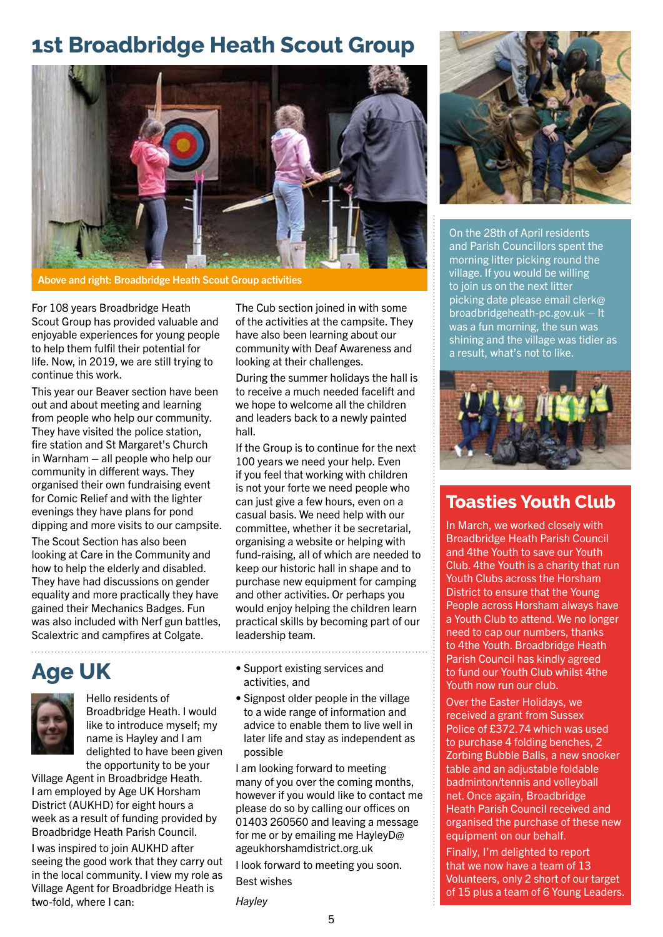## **1st Broadbridge Heath Scout Group**



Above and right: Broadbridge Heath Scout Group activities

For 108 years Broadbridge Heath Scout Group has provided valuable and enjoyable experiences for young people to help them fulfil their potential for life. Now, in 2019, we are still trying to continue this work.

This year our Beaver section have been out and about meeting and learning from people who help our community. They have visited the police station, fire station and St Margaret's Church in Warnham – all people who help our community in different ways. They organised their own fundraising event for Comic Relief and with the lighter evenings they have plans for pond dipping and more visits to our campsite.

The Scout Section has also been looking at Care in the Community and how to help the elderly and disabled. They have had discussions on gender equality and more practically they have gained their Mechanics Badges. Fun was also included with Nerf gun battles, Scalextric and campfires at Colgate.

# **Age UK**



Hello residents of Broadbridge Heath. I would like to introduce myself; my name is Hayley and I am delighted to have been given the opportunity to be your

Village Agent in Broadbridge Heath. I am employed by Age UK Horsham District (AUKHD) for eight hours a week as a result of funding provided by Broadbridge Heath Parish Council.

I was inspired to join AUKHD after seeing the good work that they carry out in the local community. I view my role as Village Agent for Broadbridge Heath is two-fold, where I can:

The Cub section joined in with some of the activities at the campsite. They have also been learning about our community with Deaf Awareness and looking at their challenges.

During the summer holidays the hall is to receive a much needed facelift and we hope to welcome all the children and leaders back to a newly painted hall.

If the Group is to continue for the next 100 years we need your help. Even if you feel that working with children is not your forte we need people who can just give a few hours, even on a casual basis. We need help with our committee, whether it be secretarial, organising a website or helping with fund-raising, all of which are needed to keep our historic hall in shape and to purchase new equipment for camping and other activities. Or perhaps you would enjoy helping the children learn practical skills by becoming part of our leadership team.

• Support existing services and activities, and

• Signpost older people in the village to a wide range of information and advice to enable them to live well in later life and stay as independent as possible

I am looking forward to meeting many of you over the coming months, however if you would like to contact me please do so by calling our offices on 01403 260560 and leaving a message for me or by emailing me HayleyD@ ageukhorshamdistrict.org.uk

I look forward to meeting you soon. Best wishes





On the 28th of April residents and Parish Councillors spent the morning litter picking round the village. If you would be willing to join us on the next litter picking date please email clerk@ broadbridgeheath-pc.gov.uk – It was a fun morning, the sun was shining and the village was tidier as a result, what's not to like.



### **Toasties Youth Club**

In March, we worked closely with Broadbridge Heath Parish Council and 4the Youth to save our Youth Club. 4the Youth is a charity that run Youth Clubs across the Horsham District to ensure that the Young People across Horsham always have a Youth Club to attend. We no longer need to cap our numbers, thanks to 4the Youth. Broadbridge Heath Parish Council has kindly agreed to fund our Youth Club whilst 4the Youth now run our club.

Over the Easter Holidays, we received a grant from Sussex Police of £372.74 which was used to purchase 4 folding benches, 2 Zorbing Bubble Balls, a new snooker table and an adjustable foldable badminton/tennis and volleyball net. Once again, Broadbridge Heath Parish Council received and organised the purchase of these new equipment on our behalf.

Finally, I'm delighted to report that we now have a team of 13 Volunteers, only 2 short of our target of 15 plus a team of 6 Young Leaders.